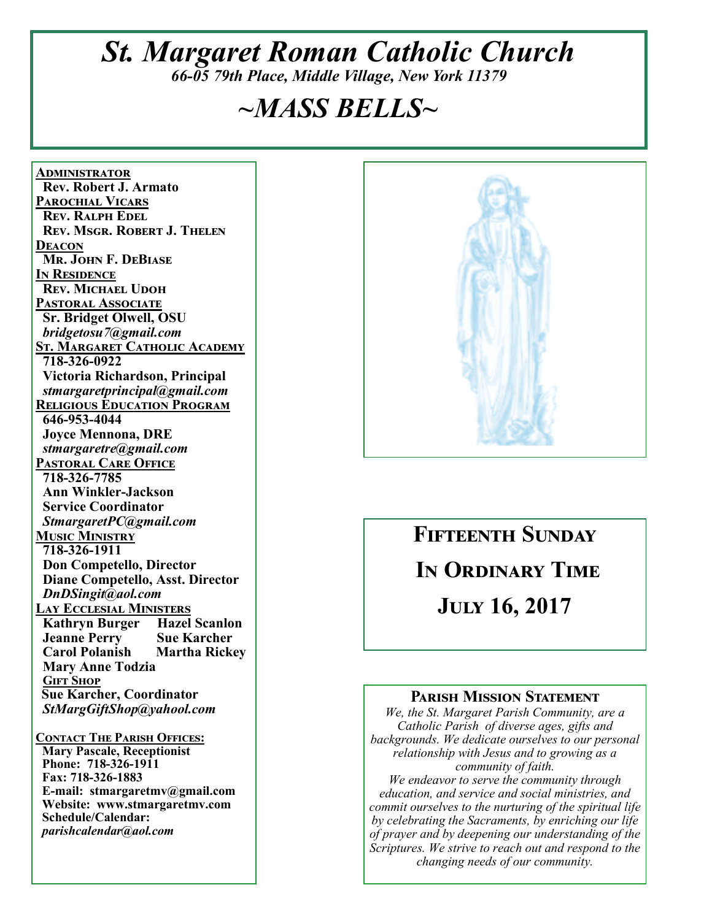# *St. Margaret Roman Catholic Church*

*66-05 79th Place, Middle Village, New York 11379* 

## *~MASS BELLS~*

**<u>ADMINISTRATOR</u> Rev. Robert J. Armato PAROCHIAL VICARS REV. RALPH EDEL REV. MSGR. ROBERT J. THELEN DEACON Mr. John F. DeBiase IN RESIDENCE REV. MICHAEL UDOH PASTORAL ASSOCIATE Sr. Bridget Olwell, OSU**   *bridgetosu7@gmail.com*  **<u>St. Margaret Catholic Academy</u> 718-326-0922 Victoria Richardson, Principal**   *stmargaretprincipal@gmail.com*  **RELIGIOUS EDUCATION PROGRAM 646-953-4044 Joyce Mennona, DRE** *stmargaretre@gmail.com*  **PASTORAL CARE OFFICE 718-326-7785 Ann Winkler-Jackson Service Coordinator** *StmargaretPC@gmail.com*  **MUSIC MINISTRY 718-326-1911 Don Competello, Director Diane Competello, Asst. Director** *DnDSingit@aol.com*  <u>Lay Ecclesial Ministers</u><br>| Kathryn Burger | Hazel Scanlon| **Kathryn Burger Hazel Scanlo<br>
Jeanne Perry Sue Karcher Jeanne Perry Sue Karcher<br>
Carol Polanish Martha Rickey Carol Polanish Mary Anne Todzia GIFT SHOP Sue Karcher, Coordinator** *StMargGiftShop@yahool.com*  **CONTACT THE PARISH OFFICES: Mary Pascale, Receptionist Phone: 718-326-1911** 

 **Fax: 718-326-1883 E-mail: stmargaretmv@gmail.com Website: www.stmargaretmv.com Schedule/Calendar:** *parishcalendar@aol.com* 



# **FIFTEENTH SUNDAY** IN ORDINARY TIME **JULY 16, 2017**

#### **PARISH MISSION STATEMENT**

*We, the St. Margaret Parish Community, are a Catholic Parish of diverse ages, gifts and backgrounds. We dedicate ourselves to our personal relationship with Jesus and to growing as a community of faith. We endeavor to serve the community through education, and service and social ministries, and commit ourselves to the nurturing of the spiritual life by celebrating the Sacraments, by enriching our life* 

*of prayer and by deepening our understanding of the Scriptures. We strive to reach out and respond to the changing needs of our community.*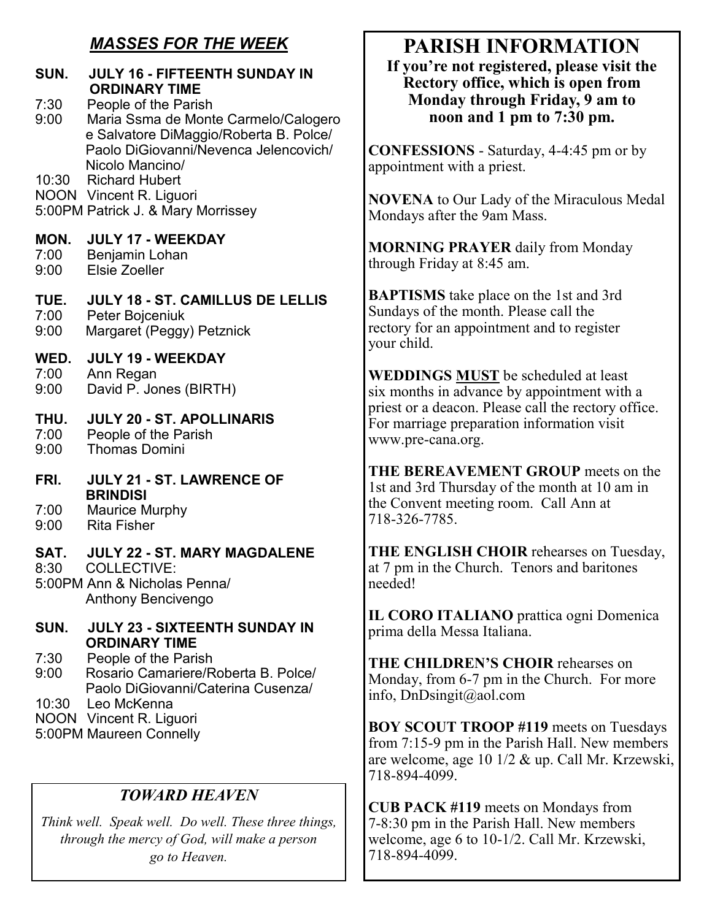#### *MASSES FOR THE WEEK*

#### **SUN. JULY 16 - FIFTEENTH SUNDAY IN ORDINARY TIME**  7:30 People of the Parish<br>9:00 Maria Ssma de Mont 9:00 Maria Ssma de Monte Carmelo/Calogero e Salvatore DiMaggio/Roberta B. Polce/ Paolo DiGiovanni/Nevenca Jelencovich/ Nicolo Mancino/ 10:30 Richard Hubert NOON Vincent R. Liguori 5:00PM Patrick J. & Mary Morrissey **MON. JULY 17 - WEEKDAY**  7:00 Benjamin Lohan 9:00 Elsie Zoeller **TUE. JULY 18 - ST. CAMILLUS DE LELLIS** 7:00 Peter Bojceniuk Margaret (Peggy) Petznick **WED. JULY 19 - WEEKDAY**  7:00 Ann Regan David P. Jones (BIRTH) **THU. JULY 20 - ST. APOLLINARIS**  7:00 People of the Parish 9:00 Thomas Domini **FRI. JULY 21 - ST. LAWRENCE OF BRINDISI**  7:00 Maurice Murphy 9:00 Rita Fisher **SAT. JULY 22 - ST. MARY MAGDALENE**  8:30 COLLECTIVE: 5:00PM Ann & Nicholas Penna/ Anthony Bencivengo **SUN. JULY 23 - SIXTEENTH SUNDAY IN ORDINARY TIME**  7:30 People of the Parish 9:00 Rosario Camariere/Roberta B. Polce/

Paolo DiGiovanni/Caterina Cusenza/

10:30 Leo McKenna

- NOON Vincent R. Liguori
- 5:00PM Maureen Connelly

#### *TOWARD HEAVEN*

*Think well. Speak well. Do well. These three things, through the mercy of God, will make a person go to Heaven.* 

### **PARISH INFORMATION**

**If you're not registered, please visit the Rectory office, which is open from Monday through Friday, 9 am to noon and 1 pm to 7:30 pm.** 

**CONFESSIONS** - Saturday, 4-4:45 pm or by appointment with a priest.

**NOVENA** to Our Lady of the Miraculous Medal Mondays after the 9am Mass.

**MORNING PRAYER** daily from Monday through Friday at 8:45 am.

**BAPTISMS** take place on the 1st and 3rd Sundays of the month. Please call the rectory for an appointment and to register your child.

**WEDDINGS MUST** be scheduled at least six months in advance by appointment with a priest or a deacon. Please call the rectory office. For marriage preparation information visit www.pre-cana.org.

**THE BEREAVEMENT GROUP** meets on the 1st and 3rd Thursday of the month at 10 am in the Convent meeting room. Call Ann at 718-326-7785.

**THE ENGLISH CHOIR** rehearses on Tuesday, at 7 pm in the Church. Tenors and baritones needed!

**IL CORO ITALIANO** prattica ogni Domenica prima della Messa Italiana.

**THE CHILDREN'S CHOIR** rehearses on Monday, from 6-7 pm in the Church. For more info, DnDsingit@aol.com

**BOY SCOUT TROOP #119** meets on Tuesdays from 7:15-9 pm in the Parish Hall. New members are welcome, age 10 1/2 & up. Call Mr. Krzewski, 718-894-4099.

**CUB PACK #119** meets on Mondays from 7-8:30 pm in the Parish Hall. New members welcome, age 6 to 10-1/2. Call Mr. Krzewski, 718-894-4099.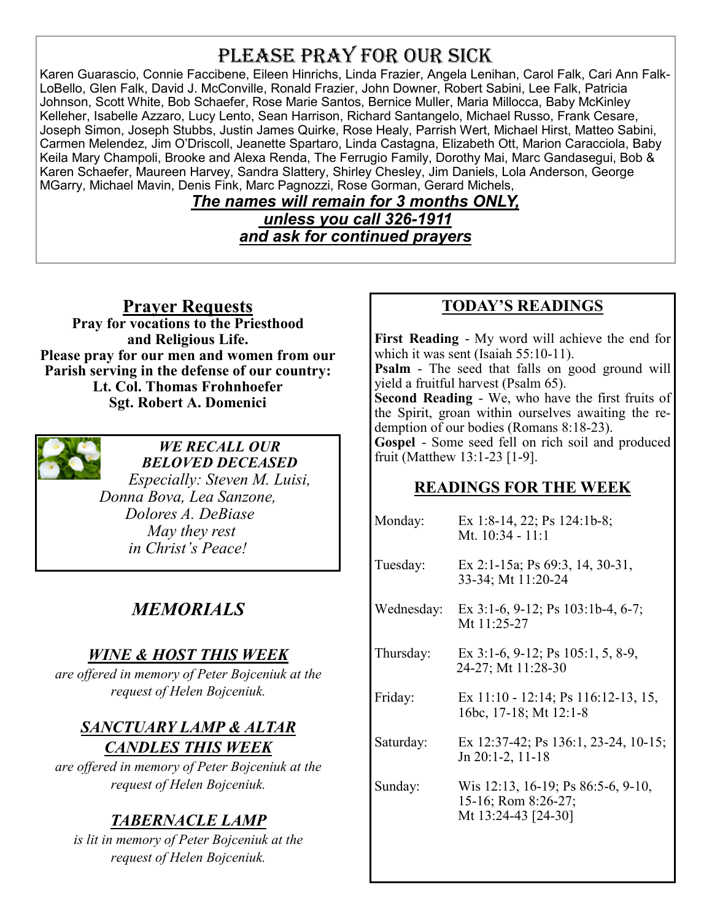## PLEASE PRAY FOR OUR SICK

Karen Guarascio, Connie Faccibene, Eileen Hinrichs, Linda Frazier, Angela Lenihan, Carol Falk, Cari Ann Falk-LoBello, Glen Falk, David J. McConville, Ronald Frazier, John Downer, Robert Sabini, Lee Falk, Patricia Johnson, Scott White, Bob Schaefer, Rose Marie Santos, Bernice Muller, Maria Millocca, Baby McKinley Kelleher, Isabelle Azzaro, Lucy Lento, Sean Harrison, Richard Santangelo, Michael Russo, Frank Cesare, Joseph Simon, Joseph Stubbs, Justin James Quirke, Rose Healy, Parrish Wert, Michael Hirst, Matteo Sabini, Carmen Melendez, Jim O'Driscoll, Jeanette Spartaro, Linda Castagna, Elizabeth Ott, Marion Caracciola, Baby Keila Mary Champoli, Brooke and Alexa Renda, The Ferrugio Family, Dorothy Mai, Marc Gandasegui, Bob & Karen Schaefer, Maureen Harvey, Sandra Slattery, Shirley Chesley, Jim Daniels, Lola Anderson, George MGarry, Michael Mavin, Denis Fink, Marc Pagnozzi, Rose Gorman, Gerard Michels,

#### *The names will remain for 3 months ONLY, unless you call 326-1911 and ask for continued prayers*

**Prayer Requests** 

**Pray for vocations to the Priesthood and Religious Life. Please pray for our men and women from our Parish serving in the defense of our country: Lt. Col. Thomas Frohnhoefer Sgt. Robert A. Domenici** 



*WE RECALL OUR BELOVED DECEASED Especially: Steven M. Luisi, Donna Bova, Lea Sanzone, Dolores A. DeBiase May they rest in Christ's Peace!* 

#### *MEMORIALS*

#### *WINE & HOST THIS WEEK*

*are offered in memory of Peter Bojceniuk at the request of Helen Bojceniuk.* 

#### *SANCTUARY LAMP & ALTAR CANDLES THIS WEEK*

*are offered in memory of Peter Bojceniuk at the request of Helen Bojceniuk.* 

#### *TABERNACLE LAMP*

*is lit in memory of Peter Bojceniuk at the request of Helen Bojceniuk.* 

#### **TODAY'S READINGS**

**First Reading** - My word will achieve the end for which it was sent (Isaiah 55:10-11).

**Psalm** - The seed that falls on good ground will yield a fruitful harvest (Psalm 65).

**Second Reading** - We, who have the first fruits of the Spirit, groan within ourselves awaiting the redemption of our bodies (Romans 8:18-23).

**Gospel** - Some seed fell on rich soil and produced fruit (Matthew 13:1-23 [1-9].

#### **READINGS FOR THE WEEK**

| Monday:    | Ex 1:8-14, 22; Ps 124:1b-8;<br>Mt. $10:34 - 11:1$                                |  |
|------------|----------------------------------------------------------------------------------|--|
| Tuesday:   | Ex 2:1-15a; Ps $69:3$ , 14, 30-31,<br>33-34; Mt 11:20-24                         |  |
| Wednesday: | Ex 3:1-6, 9-12; Ps 103:1b-4, 6-7;<br>Mt 11:25-27                                 |  |
| Thursday:  | Ex 3:1-6, 9-12; Ps 105:1, 5, 8-9,<br>24-27; Mt 11:28-30                          |  |
| Friday:    | Ex 11:10 - 12:14; Ps 116:12-13, 15,<br>16bc, 17-18; Mt 12:1-8                    |  |
| Saturday:  | Ex 12:37-42; Ps 136:1, 23-24, 10-15;<br>Jn 20:1-2, 11-18                         |  |
| Sunday:    | Wis 12:13, 16-19; Ps 86:5-6, 9-10,<br>15-16; Rom 8:26-27;<br>Mt 13:24-43 [24-30] |  |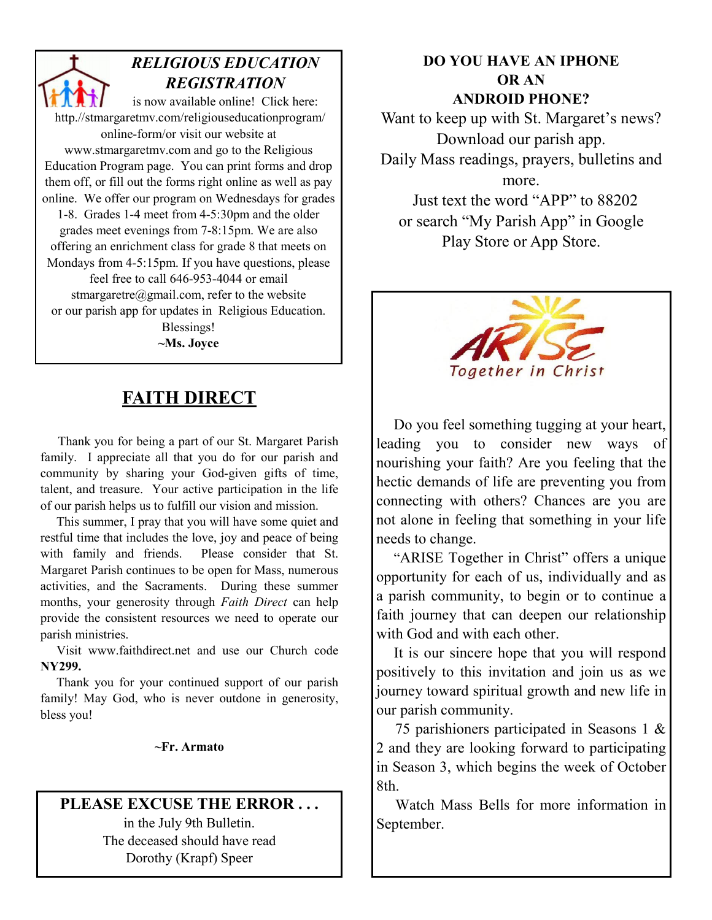*RELIGIOUS EDUCATION REGISTRATION*  is now available online! Click here: http.//stmargaretmv.com/religiouseducationprogram/ online-form/or visit our website at www.stmargaretmv.com and go to the Religious Education Program page. You can print forms and drop them off, or fill out the forms right online as well as pay online. We offer our program on Wednesdays for grades 1-8. Grades 1-4 meet from 4-5:30pm and the older grades meet evenings from 7-8:15pm. We are also offering an enrichment class for grade 8 that meets on Mondays from 4-5:15pm. If you have questions, please feel free to call 646-953-4044 or email stmargaretre@gmail.com, refer to the website or our parish app for updates in Religious Education. Blessings!

#### **~Ms. Joyce**

#### **FAITH DIRECT**

 Thank you for being a part of our St. Margaret Parish family. I appreciate all that you do for our parish and community by sharing your God-given gifts of time, talent, and treasure. Your active participation in the life of our parish helps us to fulfill our vision and mission.

 This summer, I pray that you will have some quiet and restful time that includes the love, joy and peace of being with family and friends. Please consider that St. Margaret Parish continues to be open for Mass, numerous activities, and the Sacraments. During these summer months, your generosity through *Faith Direct* can help provide the consistent resources we need to operate our parish ministries.

 Visit www.faithdirect.net and use our Church code **NY299.** 

 Thank you for your continued support of our parish family! May God, who is never outdone in generosity, bless you!

**~Fr. Armato** 

#### PLEASE EXCUSE THE ERROR ...

in the July 9th Bulletin. The deceased should have read Dorothy (Krapf) Speer

#### **DO YOU HAVE AN IPHONE OR AN ANDROID PHONE?**

Want to keep up with St. Margaret's news? Download our parish app. Daily Mass readings, prayers, bulletins and more. Just text the word "APP" to 88202 or search "My Parish App" in Google

Play Store or App Store.



 Do you feel something tugging at your heart, leading you to consider new ways of nourishing your faith? Are you feeling that the hectic demands of life are preventing you from connecting with others? Chances are you are not alone in feeling that something in your life needs to change.

 "ARISE Together in Christ" offers a unique opportunity for each of us, individually and as a parish community, to begin or to continue a faith journey that can deepen our relationship with God and with each other.

 It is our sincere hope that you will respond positively to this invitation and join us as we journey toward spiritual growth and new life in our parish community.

 75 parishioners participated in Seasons 1 & 2 and they are looking forward to participating in Season 3, which begins the week of October 8th.

 Watch Mass Bells for more information in September.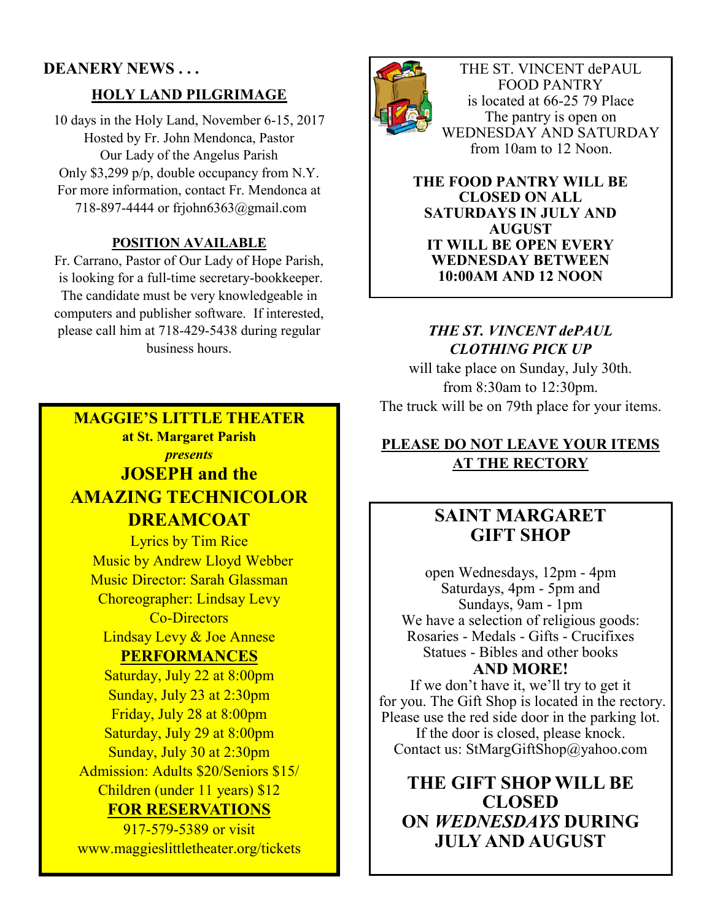#### **DEANERY NEWS . . .**

#### **HOLY LAND PILGRIMAGE**

10 days in the Holy Land, November 6-15, 2017 Hosted by Fr. John Mendonca, Pastor Our Lady of the Angelus Parish Only \$3,299 p/p, double occupancy from N.Y. For more information, contact Fr. Mendonca at 718-897-4444 or frjohn6363@gmail.com

#### **POSITION AVAILABLE**

Fr. Carrano, Pastor of Our Lady of Hope Parish, is looking for a full-time secretary-bookkeeper. The candidate must be very knowledgeable in computers and publisher software. If interested, please call him at 718-429-5438 during regular business hours.

#### **MAGGIE'S LITTLE THEATER at St. Margaret Parish**  *presents*  **JOSEPH and the AMAZING TECHNICOLOR DREAMCOAT**

Lyrics by Tim Rice Music by Andrew Lloyd Webber Music Director: Sarah Glassman Choreographer: Lindsay Levy Co-Directors Lindsay Levy & Joe Annese

#### **PERFORMANCES**

Saturday, July 22 at 8:00pm Sunday, July 23 at 2:30pm Friday, July 28 at 8:00pm Saturday, July 29 at 8:00pm Sunday, July 30 at 2:30pm Admission: Adults \$20/Seniors \$15/ Children (under 11 years) \$12 **FOR RESERVATIONS** 

917-579-5389 or visit www.maggieslittletheater.org/tickets



THE ST. VINCENT dePAUL FOOD PANTRY is located at 66-25 79 Place The pantry is open on WEDNESDAY AND SATURDAY from 10am to 12 Noon.

**THE FOOD PANTRY WILL BE CLOSED ON ALL SATURDAYS IN JULY AND AUGUST IT WILL BE OPEN EVERY WEDNESDAY BETWEEN 10:00AM AND 12 NOON** 

#### *THE ST. VINCENT dePAUL CLOTHING PICK UP*

will take place on Sunday, July 30th. from 8:30am to 12:30pm. The truck will be on 79th place for your items.

#### **PLEASE DO NOT LEAVE YOUR ITEMS AT THE RECTORY**

#### **SAINT MARGARET GIFT SHOP**

open Wednesdays, 12pm - 4pm Saturdays, 4pm - 5pm and Sundays, 9am - 1pm We have a selection of religious goods: Rosaries - Medals - Gifts - Crucifixes Statues - Bibles and other books **AND MORE!** 

If we don't have it, we'll try to get it for you. The Gift Shop is located in the rectory. Please use the red side door in the parking lot. If the door is closed, please knock. Contact us: StMargGiftShop@yahoo.com

#### **THE GIFT SHOP WILL BE CLOSED ON** *WEDNESDAYS* **DURING JULY AND AUGUST**